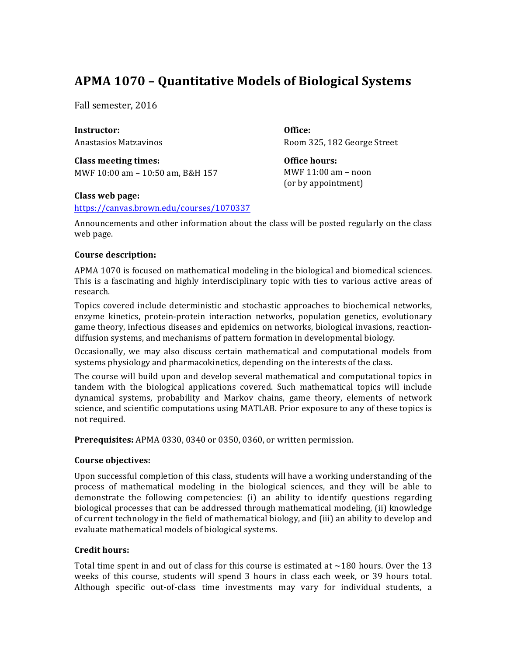# **APMA 1070 – Quantitative Models of Biological Systems**

Fall semester, 2016

**Instructor:** Anastasios Matzavinos

**Class meeting times:** MWF 10:00 am - 10:50 am, B&H 157 **Office:** Room 325, 182 George Street

**Office hours:** MWF  $11:00$  am  $-$  noon (or by appointment)

# **Class web page:**

https://canvas.brown.edu/courses/1070337

Announcements and other information about the class will be posted regularly on the class web page.

# **Course description:**

APMA 1070 is focused on mathematical modeling in the biological and biomedical sciences. This is a fascinating and highly interdisciplinary topic with ties to various active areas of research.

Topics covered include deterministic and stochastic approaches to biochemical networks, enzyme kinetics, protein-protein interaction networks, population genetics, evolutionary game theory, infectious diseases and epidemics on networks, biological invasions, reactiondiffusion systems, and mechanisms of pattern formation in developmental biology.

Occasionally, we may also discuss certain mathematical and computational models from systems physiology and pharmacokinetics, depending on the interests of the class.

The course will build upon and develop several mathematical and computational topics in tandem with the biological applications covered. Such mathematical topics will include dynamical systems, probability and Markov chains, game theory, elements of network science, and scientific computations using MATLAB. Prior exposure to any of these topics is not required.

**Prerequisites:** APMA 0330, 0340 or 0350, 0360, or written permission.

# **Course objectives:**

Upon successful completion of this class, students will have a working understanding of the process of mathematical modeling in the biological sciences, and they will be able to demonstrate the following competencies:  $(i)$  an ability to identify questions regarding biological processes that can be addressed through mathematical modeling, (ii) knowledge of current technology in the field of mathematical biology, and (iii) an ability to develop and evaluate mathematical models of biological systems.

## **Credit hours:**

Total time spent in and out of class for this course is estimated at  $\sim$ 180 hours. Over the 13 weeks of this course, students will spend 3 hours in class each week, or 39 hours total. Although specific out-of-class time investments may vary for individual students, a